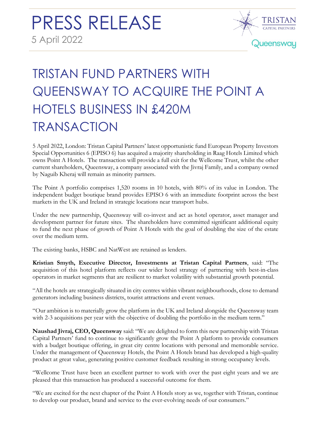

# TRISTAN FUND PARTNERS WITH QUEENSWAY TO ACQUIRE THE POINT A HOTELS BUSINESS IN £420M TRANSACTION

5 April 2022, London: Tristan Capital Partners' latest opportunistic fund European Property Investors Special Opportunities 6 (EPISO 6) has acquired a majority shareholding in Raag Hotels Limited which owns Point A Hotels. The transaction will provide a full exit for the Wellcome Trust, whilst the other current shareholders, Queensway, a company associated with the Jivraj Family, and a company owned by Naguib Kheraj will remain as minority partners.

The Point A portfolio comprises 1,520 rooms in 10 hotels, with 80% of its value in London. The independent budget boutique brand provides EPISO 6 with an immediate footprint across the best markets in the UK and Ireland in strategic locations near transport hubs.

Under the new partnership, Queensway will co-invest and act as hotel operator, asset manager and development partner for future sites. The shareholders have committed significant additional equity to fund the next phase of growth of Point A Hotels with the goal of doubling the size of the estate over the medium term.

The existing banks, HSBC and NatWest are retained as lenders.

**Kristian Smyth, Executive Director, Investments at Tristan Capital Partners**, said: "The acquisition of this hotel platform reflects our wider hotel strategy of partnering with best-in-class operators in market segments that are resilient to market volatility with substantial growth potential.

"All the hotels are strategically situated in city centres within vibrant neighbourhoods, close to demand generators including business districts, tourist attractions and event venues.

"Our ambition is to materially grow the platform in the UK and Ireland alongside the Queensway team with 2-3 acquisitions per year with the objective of doubling the portfolio in the medium term."

**Naushad Jivraj, CEO, Queensway** said: "We are delighted to form this new partnership with Tristan Capital Partners' fund to continue to significantly grow the Point A platform to provide consumers with a budget boutique offering, in great city centre locations with personal and memorable service. Under the management of Queensway Hotels, the Point A Hotels brand has developed a high-quality product at great value, generating positive customer feedback resulting in strong occupancy levels.

"Wellcome Trust have been an excellent partner to work with over the past eight years and we are pleased that this transaction has produced a successful outcome for them.

"We are excited for the next chapter of the Point A Hotels story as we, together with Tristan, continue to develop our product, brand and service to the ever-evolving needs of our consumers."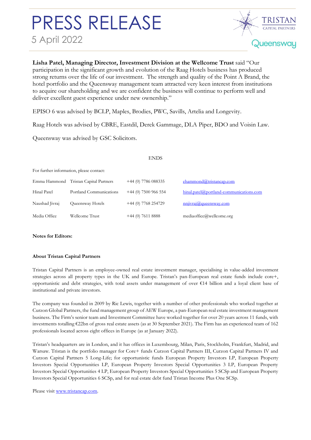## PRESS RELEASE 5 April 2022



**Lisha Patel, Managing Director, Investment Division at the Wellcome Trust** said "Our participation in the significant growth and evolution of the Raag Hotels business has produced strong returns over the life of our investment. The strength and quality of the Point A Brand, the hotel portfolio and the Queensway management team attracted very keen interest from institutions to acquire our shareholding and we are confident the business will continue to perform well and deliver excellent guest experience under new ownership."

EPISO 6 was advised by BCLP, Maples, Brodies, PWC, Savills, Artelia and Longevity.

Raag Hotels was advised by CBRE, Eastdil, Derek Gammage, DLA Piper, BDO and Voisin Law.

Queensway was advised by GSC Solicitors.

### ENDS

For further information, please contact:

|                | Emma Hammond Tristan Capital Partners | $+44(0)$ 7786 088335   | ehammond@tristancap.com                 |
|----------------|---------------------------------------|------------------------|-----------------------------------------|
| Hinal Patel    | Portland Communications               | $+44$ (0) 7500 966 554 | hinal.patel@portland-communications.com |
| Naushad Jivraj | Queensway Hotels                      | $+44$ (0) 7768 254729  | nnjivraj@queensway.com                  |
| Media Office   | Wellcome Trust                        | $+44(0)$ 7611 8888     | mediaoffice@wellcome.org                |

### **Notes for Editors:**

## **About Tristan Capital Partners**

Tristan Capital Partners is an employee-owned real estate investment manager, specialising in value-added investment strategies across all property types in the UK and Europe. Tristan's pan-European real estate funds include core+, opportunistic and debt strategies, with total assets under management of over €14 billion and a loyal client base of institutional and private investors.

The company was founded in 2009 by Ric Lewis, together with a number of other professionals who worked together at Curzon Global Partners, the fund management group of AEW Europe, a pan-European real estate investment management business. The Firm's senior team and Investment Committee have worked together for over 20 years across 11 funds, with investments totalling €22bn of gross real estate assets (as at 30 September 2021). The Firm has an experienced team of 162 professionals located across eight offices in Europe (as at January 2022).

Tristan's headquarters are in London, and it has offices in Luxembourg, Milan, Paris, Stockholm, Frankfurt, Madrid, and Warsaw. Tristan is the portfolio manager for Core+ funds Curzon Capital Partners III, Curzon Capital Partners IV and Curzon Capital Partners 5 Long-Life; for opportunistic funds European Property Investors LP, European Property Investors Special Opportunities LP, European Property Investors Special Opportunities 3 LP, European Property Investors Special Opportunities 4 LP, European Property Investors Special Opportunities 5 SCSp and European Property Investors Special Opportunities 6 SCSp, and for real estate debt fund Tristan Income Plus One SCSp.

Please visit [www.tristancap.com.](http://www.tristancap.com/)